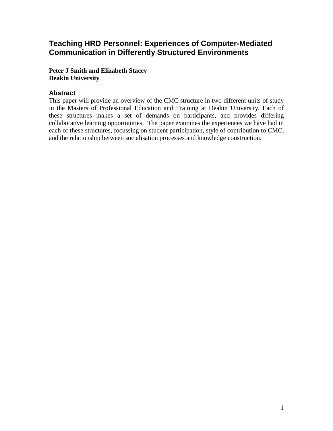# **Teaching HRD Personnel: Experiences of Computer-Mediated Communication in Differently Structured Environments**

**Peter J Smith and Elizabeth Stacey Deakin University**

# **Abstract**

This paper will provide an overview of the CMC structure in two different units of study in the Masters of Professional Education and Training at Deakin University. Each of these structures makes a set of demands on participants, and provides differing collaborative learning opportunities. The paper examines the experiences we have had in each of these structures, focussing on student participation, style of contribution to CMC, and the relationship between socialisation processes and knowledge construction.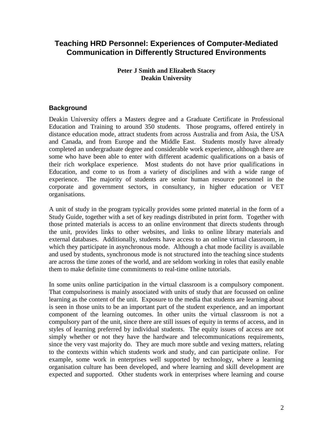# **Teaching HRD Personnel: Experiences of Computer-Mediated Communication in Differently Structured Environments**

#### **Peter J Smith and Elizabeth Stacey Deakin University**

# **Background**

Deakin University offers a Masters degree and a Graduate Certificate in Professional Education and Training to around 350 students. Those programs, offered entirely in distance education mode, attract students from across Australia and from Asia, the USA and Canada, and from Europe and the Middle East. Students mostly have already completed an undergraduate degree and considerable work experience, although there are some who have been able to enter with different academic qualifications on a basis of their rich workplace experience. Most students do not have prior qualifications in Education, and come to us from a variety of disciplines and with a wide range of experience. The majority of students are senior human resource personnel in the corporate and government sectors, in consultancy, in higher education or VET organisations.

A unit of study in the program typically provides some printed material in the form of a Study Guide, together with a set of key readings distributed in print form. Together with those printed materials is access to an online environment that directs students through the unit, provides links to other websites, and links to online library materials and external databases. Additionally, students have access to an online virtual classroom, in which they participate in asynchronous mode. Although a chat mode facility is available and used by students, synchronous mode is not structured into the teaching since students are across the time zones of the world, and are seldom working in roles that easily enable them to make definite time commitments to real-time online tutorials.

In some units online participation in the virtual classroom is a compulsory component. That compulsoriness is mainly associated with units of study that are focussed on online learning as the content of the unit. Exposure to the media that students are learning about is seen in those units to be an important part of the student experience, and an important component of the learning outcomes. In other units the virtual classroom is not a compulsory part of the unit, since there are still issues of equity in terms of access, and in styles of learning preferred by individual students. The equity issues of access are not simply whether or not they have the hardware and telecommunications requirements, since the very vast majority do. They are much more subtle and vexing matters, relating to the contexts within which students work and study, and can participate online. For example, some work in enterprises well supported by technology, where a learning organisation culture has been developed, and where learning and skill development are expected and supported. Other students work in enterprises where learning and course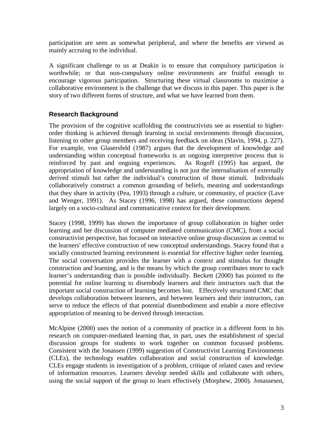participation are seen as somewhat peripheral, and where the benefits are viewed as mainly accruing to the individual.

A significant challenge to us at Deakin is to ensure that compulsory participation is worthwhile; or that non-compulsory online environments are fruitful enough to encourage vigorous participation. Structuring these virtual classrooms to maximise a collaborative environment is the challenge that we discuss in this paper. This paper is the story of two different forms of structure, and what we have learned from them.

# **Research Background**

The provision of the cognitive scaffolding the constructivists see as essential to higherorder thinking is achieved through learning in social environments through discussion, listening to other group members and receiving feedback on ideas (Slavin, 1994, p. 227). For example, von Glasersfeld (1987) argues that the development of knowledge and understanding within conceptual frameworks is an ongoing interpretive process that is reinforced by past and ongoing experiences. As Rogoff (1995) has argued, the appropriation of knowledge and understanding is not just the internalisation of externally derived stimuli but rather the individual's construction of those stimuli. Individuals collaboratively construct a common grounding of beliefs, meaning and understandings that they share in activity (Pea, 1993) through a culture, or community, of practice (Lave and Wenger, 1991). As Stacey (1996, 1998) has argued, these constructions depend largely on a socio-cultural and communicative context for their development.

Stacey (1998, 1999) has shown the importance of group collaboration in higher order learning and her discussion of computer mediated communication (CMC), from a social constructivist perspective, has focused on interactive online group discussion as central to the learners' effective construction of new conceptual understandings. Stacey found that a socially constructed learning environment is essential for effective higher order learning. The social conversation provides the learner with a context and stimulus for thought construction and learning, and is the means by which the group contributes more to each learner's understanding than is possible individually. Beckett (2000) has pointed to the potential for online learning to disembody learners and their instructors such that the important social construction of learning becomes lost. Effectively structured CMC that develops collaboration between learners, and between learners and their instructors, can serve to reduce the effects of that potential disembodiment and enable a more effective appropriation of meaning to be derived through interaction.

McAlpine (2000) uses the notion of a community of practice in a different form in his research on computer-mediated learning that, in part, uses the establishment of special discussion groups for students to work together on common focussed problems. Consistent with the Jonassen (1999) suggestion of Constructivist Learning Environments (CLEs), the technology enables collaboration and social construction of knowledge. CLEs engage students in investigation of a problem, critique of related cases and review of information resources. Learners develop needed skills and collaborate with others, using the social support of the group to learn effectively (Morphew, 2000). Jonassesen,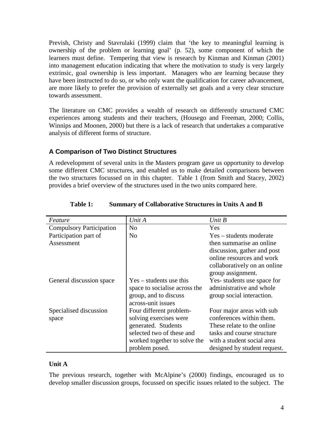Prevish, Christy and Stavrulaki (1999) claim that 'the key to meaningful learning is ownership of the problem or learning goal' (p. 52), some component of which the learners must define. Tempering that view is research by Kinman and Kinman (2001) into management education indicating that where the motivation to study is very largely extrinsic, goal ownership is less important. Managers who are learning because they have been instructed to do so, or who only want the qualification for career advancement, are more likely to prefer the provision of externally set goals and a very clear structure towards assessment.

The literature on CMC provides a wealth of research on differently structured CMC experiences among students and their teachers, (Housego and Freeman, 2000; Collis, Winnips and Moonen, 2000) but there is a lack of research that undertakes a comparative analysis of different forms of structure.

# **A Comparison of Two Distinct Structures**

A redevelopment of several units in the Masters program gave us opportunity to develop some different CMC structures, and enabled us to make detailed comparisons between the two structures focussed on in this chapter. Table 1 (from Smith and Stacey, 2002) provides a brief overview of the structures used in the two units compared here.

| Feature                         | Unit A                                      | Unit $B$                     |
|---------------------------------|---------------------------------------------|------------------------------|
| <b>Compulsory Participation</b> | N <sub>o</sub>                              | Yes                          |
| Participation part of           | N <sub>o</sub>                              | Yes – students moderate      |
| Assessment                      |                                             | then summarise an online     |
|                                 |                                             | discussion, gather and post  |
|                                 |                                             | online resources and work    |
|                                 |                                             | collaboratively on an online |
|                                 |                                             | group assignment.            |
| General discussion space        | $Yes - students use this$                   | Yes-students use space for   |
|                                 | space to socialise across the               | administrative and whole     |
|                                 | group, and to discuss<br>across-unit issues | group social interaction.    |
| Specialised discussion          | Four different problem-                     | Four major areas with sub    |
| space                           | solving exercises were                      | conferences within them.     |
|                                 | generated. Students                         | These relate to the online   |
|                                 | selected two of these and                   | tasks and course structure   |
|                                 | worked together to solve the                | with a student social area   |
|                                 | problem posed.                              | designed by student request. |

#### **Table 1: Summary of Collaborative Structures in Units A and B**

## **Unit A**

The previous research, together with McAlpine's (2000) findings, encouraged us to develop smaller discussion groups, focussed on specific issues related to the subject. The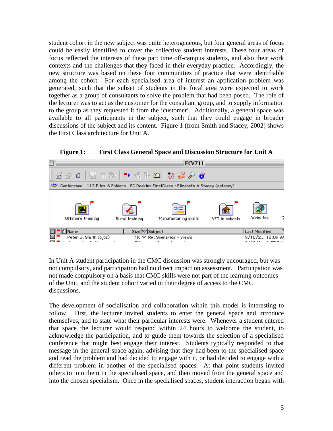student cohort in the new subject was quite heterogeneous, but four general areas of focus could be easily identified to cover the collective student interests. These four areas of focus reflected the interests of these part time off-campus students, and also their work contexts and the challenges that they faced in their everyday practice. Accordingly, the new structure was based on these four communities of practice that were identifiable among the cohort. For each specialised area of interest an application problem was generated, such that the subset of students in the focal area were expected to work together as a group of consultants to solve the problem that had been posed. The role of the lecturer was to act as the customer for the consultant group, and to supply information to the group as they requested it from the 'customer'. Additionally, a general space was available to all participants in the subject, such that they could engage in broader discussions of the subject and its content. Figure 1 (from Smith and Stacey, 2002) shows the First Class architecture for Unit A.



**Figure 1: First Class General Space and Discussion Structure for Unit A** 

In Unit A student participation in the CMC discussion was strongly encouraged, but was not compulsory, and participation had no direct impact on assessment. Participation was not made compulsory on a basis that CMC skills were not part of the learning outcomes of the Unit, and the student cohort varied in their degree of access to the CMC discussions.

The development of socialisation and collaboration within this model is interesting to follow. First, the lecturer invited students to enter the general space and introduce themselves, and to state what their particular interests were. Whenever a student entered that space the lecturer would respond within 24 hours to welcome the student, to acknowledge the participation, and to guide them towards the selection of a specialised conference that might best engage their interest. Students typically responded to that message in the general space again, advising that they had been to the specialised space and read the problem and had decided to engage with it, or had decided to engage with a different problem in another of the specialised spaces. At that point students invited others to join them in the specialised space, and then moved from the general space and into the chosen specialism. Once in the specialised spaces, student interaction began with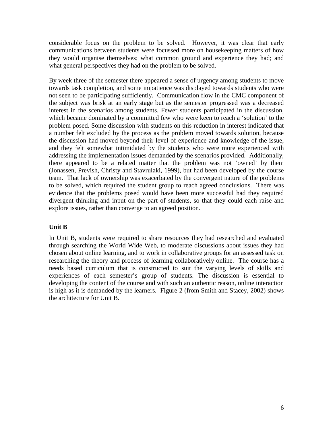considerable focus on the problem to be solved. However, it was clear that early communications between students were focussed more on housekeeping matters of how they would organise themselves; what common ground and experience they had; and what general perspectives they had on the problem to be solved.

By week three of the semester there appeared a sense of urgency among students to move towards task completion, and some impatience was displayed towards students who were not seen to be participating sufficiently. Communication flow in the CMC component of the subject was brisk at an early stage but as the semester progressed was a decreased interest in the scenarios among students. Fewer students participated in the discussion, which became dominated by a committed few who were keen to reach a 'solution' to the problem posed. Some discussion with students on this reduction in interest indicated that a number felt excluded by the process as the problem moved towards solution, because the discussion had moved beyond their level of experience and knowledge of the issue, and they felt somewhat intimidated by the students who were more experienced with addressing the implementation issues demanded by the scenarios provided. Additionally, there appeared to be a related matter that the problem was not 'owned' by them (Jonassen, Prevish, Christy and Stavrulaki, 1999), but had been developed by the course team. That lack of ownership was exacerbated by the convergent nature of the problems to be solved, which required the student group to reach agreed conclusions. There was evidence that the problems posed would have been more successful had they required divergent thinking and input on the part of students, so that they could each raise and explore issues, rather than converge to an agreed position.

## **Unit B**

In Unit B, students were required to share resources they had researched and evaluated through searching the World Wide Web, to moderate discussions about issues they had chosen about online learning, and to work in collaborative groups for an assessed task on researching the theory and process of learning collaboratively online. The course has a needs based curriculum that is constructed to suit the varying levels of skills and experiences of each semester's group of students. The discussion is essential to developing the content of the course and with such an authentic reason, online interaction is high as it is demanded by the learners. Figure 2 (from Smith and Stacey, 2002) shows the architecture for Unit B.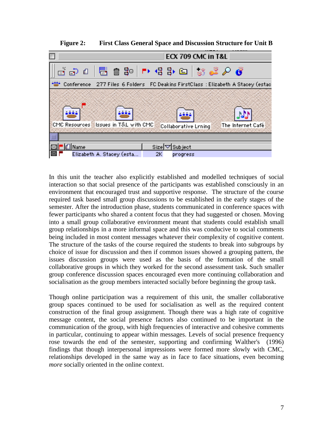

**Figure 2: First Class General Space and Discussion Structure for Unit B** 

In this unit the teacher also explicitly established and modelled techniques of social interaction so that social presence of the participants was established consciously in an environment that encouraged trust and supportive response. The structure of the course required task based small group discussions to be established in the early stages of the semester. After the introduction phase, students communicated in conference spaces with fewer participants who shared a content focus that they had suggested or chosen. Moving into a small group collaborative environment meant that students could establish small group relationships in a more informal space and this was conducive to social comments being included in most content messages whatever their complexity of cognitive content. The structure of the tasks of the course required the students to break into subgroups by choice of issue for discussion and then if common issues showed a grouping pattern, the issues discussion groups were used as the basis of the formation of the small collaborative groups in which they worked for the second assessment task. Such smaller group conference discussion spaces encouraged even more continuing collaboration and socialisation as the group members interacted socially before beginning the group task.

Though online participation was a requirement of this unit, the smaller collaborative group spaces continued to be used for socialisation as well as the required content construction of the final group assignment. Though there was a high rate of cognitive message content, the social presence factors also continued to be important in the communication of the group, with high frequencies of interactive and cohesive comments in particular, continuing to appear within messages. Levels of social presence frequency rose towards the end of the semester, supporting and confirming Walther's (1996) findings that though interpersonal impressions were formed more slowly with CMC, relationships developed in the same way as in face to face situations, even becoming *more* socially oriented in the online context.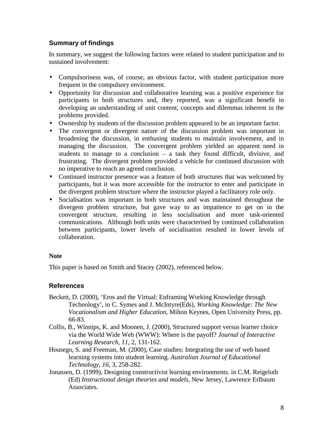# **Summary of findings**

In summary, we suggest the following factors were related to student participation and to sustained involvement:

- Compulsoriness was, of course, an obvious factor, with student participation more frequent in the compulsory environment.
- Opportunity for discussion and collaborative learning was a positive experience for participants in both structures and, they reported, was a significant benefit in developing an understanding of unit content, concepts and dilemmas inherent in the problems provided.
- Ownership by students of the discussion problem appeared to be an important factor.
- The convergent or divergent nature of the discussion problem was important in broadening the discussion, in enthusing students to maintain involvement, and in managing the discussion. The convergent problem yielded an apparent need in students to manage to a conclusion – a task they found difficult, divisive, and frustrating. The divergent problem provided a vehicle for continued discussion with no imperative to reach an agreed conclusion.
- Continued instructor presence was a feature of both structures that was welcomed by participants, but it was more accessible for the instructor to enter and participate in the divergent problem structure where the instructor played a facilitatory role only.
- Socialisation was important in both structures and was maintained throughout the divergent problem structure, but gave way to an impatience to get on in the convergent structure, resulting in less socialisation and more task-oriented communications. Although both units were characterised by continued collaboration between participants, lower levels of socialisation resulted in lower levels of collaboration.

## **Note**

This paper is based on Smith and Stacey (2002), referenced below.

## **References**

- Beckett, D. (2000), 'Eros and the Virtual: Enframing Working Knowledge through Technology', in C. Symes and J. McIntyre(Eds), *Working Knowledge: The New Vocationalism and Higher Education,* Milton Keynes, Open University Press, pp. 66-83.
- Collis, B., Winnips, K. and Moonen, J. (2000), Structured support versus learner choice via the World Wide Web (WWW): Where is the payoff? *Journal of Interactive Learning Research, 11*, 2, 131-162.
- Housego, S. and Freeman, M. (2000), Case studies: Integrating the use of web based learning systems into student learning. *Australian Journal of Educational Technology*, *16,* 3, 258-282.
- Jonassen, D. (1999), Designing constructivist learning environments. in C.M. Reigeluth (Ed) *Instructional design theories and models*, New Jersey, Lawrence Erlbaum Associates.